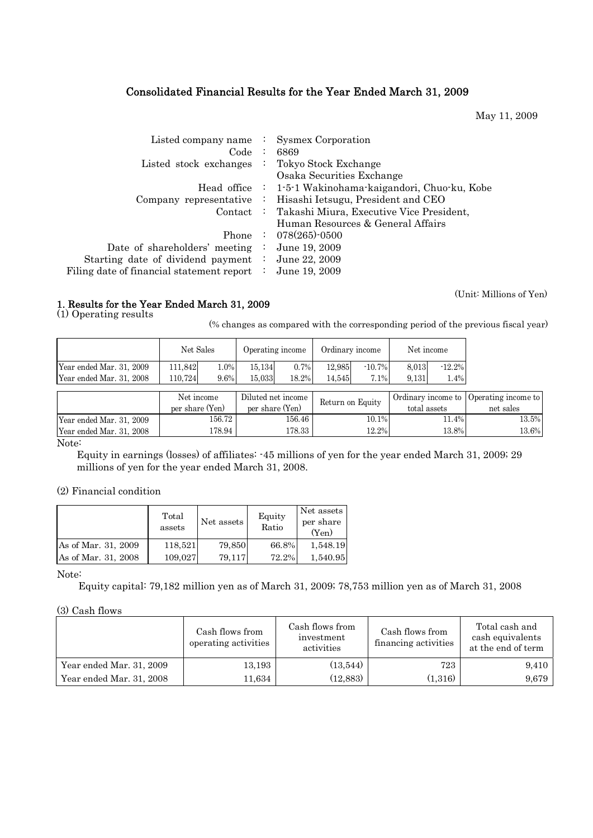# Consolidated Financial Results for the Year Ended March 31, 2009

May 11, 2009

| Listed company name $\therefore$<br>Code:              | <b>Sysmex Corporation</b><br>6869                           |
|--------------------------------------------------------|-------------------------------------------------------------|
| Listed stock exchanges                                 | : Tokyo Stock Exchange                                      |
|                                                        | Osaka Securities Exchange                                   |
|                                                        | Head office : 1-5-1 Wakinohama-kaigandori, Chuo-ku, Kobe    |
|                                                        | Company representative : Hisashi Ietsugu, President and CEO |
|                                                        | Contact : Takashi Miura, Executive Vice President,          |
|                                                        | Human Resources & General Affairs                           |
|                                                        | Phone : $078(265)$ -0500                                    |
| Date of shareholders' meeting :                        | June 19, 2009                                               |
| Starting date of dividend payment : June 22, 2009      |                                                             |
| Filing date of financial statement report $\therefore$ | June 19, 2009                                               |

## 1. Results for the Year Ended March 31, 2009

(1) Operating results

(% changes as compared with the corresponding period of the previous fiscal year)

|                          | Net Sales       |        | Operating income   |                                 | Ordinary income  |           | Net income         |          |                     |
|--------------------------|-----------------|--------|--------------------|---------------------------------|------------------|-----------|--------------------|----------|---------------------|
| Year ended Mar. 31, 2009 | 111.842         | 1.0%   | 15,134             | 0.7%                            | 12.985           | $-10.7\%$ | 8.013              | $-12.2%$ |                     |
| Year ended Mar. 31, 2008 | 110,724         | 9.6%   | 15,033             | 18.2%                           | 14,545           | 7.1%      | 9.131              | 1.4%     |                     |
|                          |                 |        |                    |                                 |                  |           |                    |          |                     |
|                          | Net income      |        | Diluted net income |                                 | Return on Equity |           | Ordinary income to |          | Operating income to |
|                          | per share (Yen) |        |                    | per share (Yen)<br>total assets |                  |           |                    |          | net sales           |
| Year ended Mar. 31, 2009 |                 | 156.72 |                    | 156.46                          |                  | 10.1%     |                    | 11.4%    | 13.5%               |
| Year ended Mar. 31, 2008 |                 | 178.94 |                    | 178.33                          |                  | 12.2%     |                    | 13.8%    | 13.6%               |

Note:

 Equity in earnings (losses) of affiliates: -45 millions of yen for the year ended March 31, 2009; 29 millions of yen for the year ended March 31, 2008.

(2) Financial condition

|                     | Total<br>assets | Net assets | Equity<br>Ratio | Net assets<br>per share<br>(Yen) |
|---------------------|-----------------|------------|-----------------|----------------------------------|
| As of Mar. 31, 2009 | 118,521         | 79,850     | 66.8%           | 1,548.19                         |
| As of Mar. 31, 2008 | 109,027         | 79.117     | 72.2%           | 1,540.95                         |

#### Note:

Equity capital: 79,182 million yen as of March 31, 2009; 78,753 million yen as of March 31, 2008

(3) Cash flows

|                          | Cash flows from<br>operating activities | Cash flows from<br>investment<br>activities | Cash flows from<br>financing activities | Total cash and<br>cash equivalents<br>at the end of term |
|--------------------------|-----------------------------------------|---------------------------------------------|-----------------------------------------|----------------------------------------------------------|
| Year ended Mar. 31, 2009 | 13,193                                  | (13,544)                                    | 723                                     | 9.410                                                    |
| Year ended Mar. 31, 2008 | 11,634                                  | (12, 883)                                   | (1,316)                                 | 9.679                                                    |

(Unit: Millions of Yen)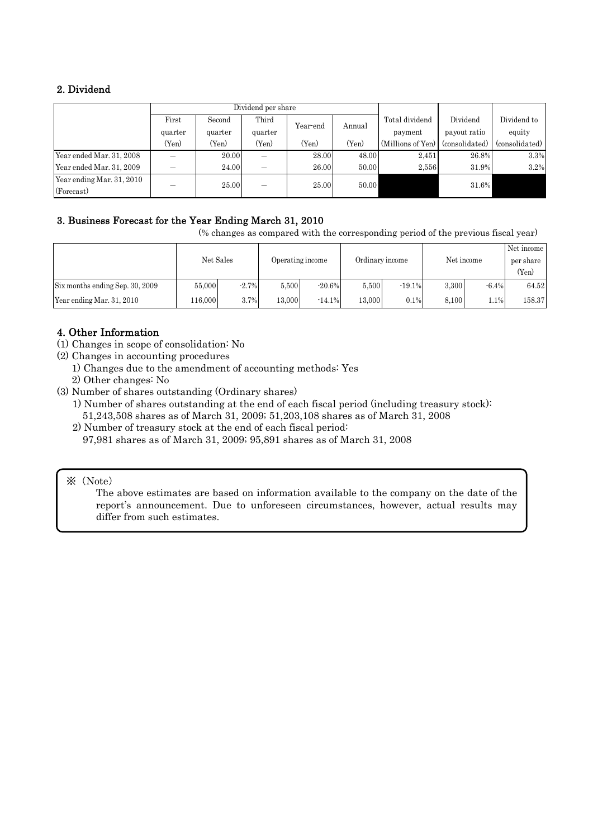# 2. Dividend

|                                         | First   | Second  | Third   | Year-end | Annual | Total dividend    | Dividend       | Dividend to    |
|-----------------------------------------|---------|---------|---------|----------|--------|-------------------|----------------|----------------|
|                                         | quarter | quarter | quarter |          |        | payment           | payout ratio   | equity         |
|                                         | (Yen)   | (Yen)   | (Yen)   | (Yen)    | (Yen)  | (Millions of Yen) | (consolidated) | (consolidated) |
| Year ended Mar. 31, 2008                |         | 20.00   |         | 28.00    | 48.00  | 2.451             | 26.8%          | 3.3%           |
| Year ended Mar. 31, 2009                |         | 24.00   |         | 26.00    | 50.00  | 2.556             | 31.9%          | 3.2%           |
| Year ending Mar. 31, 2010<br>(Forecast) |         | 25.00   |         | 25.00    | 50.00  |                   | 31.6%          |                |

# 3. Business Forecast for the Year Ending March 31, 2010

(% changes as compared with the corresponding period of the previous fiscal year)

|                                 | Net Sales |         | Operating income |           |        | Ordinary income |       | Net income | Net income<br>per share<br>(Yen) |
|---------------------------------|-----------|---------|------------------|-----------|--------|-----------------|-------|------------|----------------------------------|
| Six months ending Sep. 30, 2009 | 55,000    | $-2.7%$ | 5,500            | $-20.6\%$ | 5.500  | $-19.1%$        | 3.300 | $-6.4%$    | 64.52                            |
| Year ending Mar. 31, 2010       | 116.000   | 3.7%    | 13,000           | $-14.1%$  | 13.000 | 0.1%            | 8.100 | $1.1\%$    | 158.37                           |

# 4. Other Information

- (1) Changes in scope of consolidation: No
- (2) Changes in accounting procedures
	- 1) Changes due to the amendment of accounting methods: Yes
	- 2) Other changes: No
- (3) Number of shares outstanding (Ordinary shares)
	- 1) Number of shares outstanding at the end of each fiscal period (including treasury stock): 51,243,508 shares as of March 31, 2009; 51,203,108 shares as of March 31, 2008
	- 2) Number of treasury stock at the end of each fiscal period: 97,981 shares as of March 31, 2009; 95,891 shares as of March 31, 2008

## ※(Note)

The above estimates are based on information available to the company on the date of the report's announcement. Due to unforeseen circumstances, however, actual results may differ from such estimates.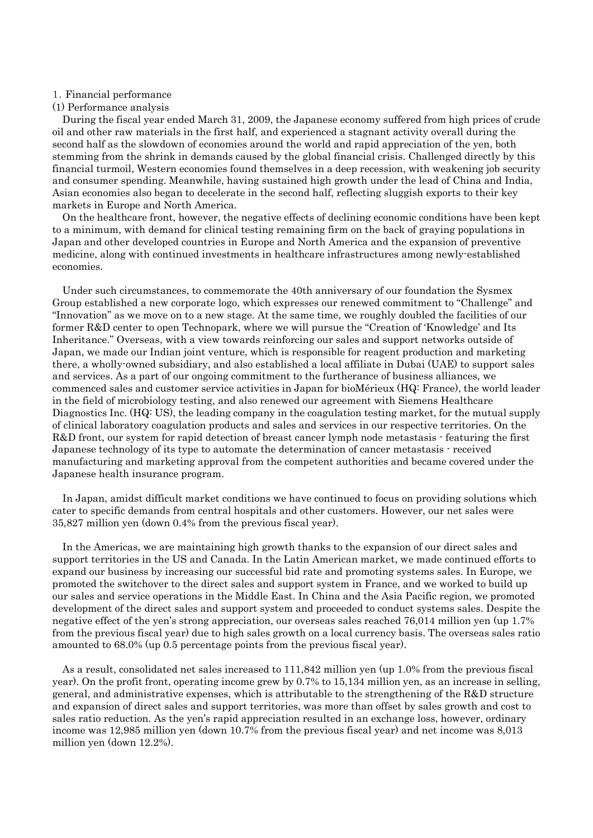#### 1.Financial performance

#### (1) Performance analysis

During the fiscal year ended March 31, 2009, the Japanese economy suffered from high prices of crude oil and other raw materials in the first half, and experienced a stagnant activity overall during the second half as the slowdown of economies around the world and rapid appreciation of the yen, both stemming from the shrink in demands caused by the global financial crisis. Challenged directly by this financial turmoil, Western economies found themselves in a deep recession, with weakening job security and consumer spending. Meanwhile, having sustained high growth under the lead of China and India, Asian economies also began to decelerate in the second half, reflecting sluggish exports to their key markets in Europe and North America.

On the healthcare front, however, the negative effects of declining economic conditions have been kept to a minimum, with demand for clinical testing remaining firm on the back of graying populations in Japan and other developed countries in Europe and North America and the expansion of preventive medicine, along with continued investments in healthcare infrastructures among newly-established economies.

Under such circumstances, to commemorate the 40th anniversary of our foundation the Sysmex Group established a new corporate logo, which expresses our renewed commitment to "Challenge" and "Innovation" as we move on to a new stage. At the same time, we roughly doubled the facilities of our former R&D center to open Technopark, where we will pursue the "Creation of 'Knowledge' and Its Inheritance." Overseas, with a view towards reinforcing our sales and support networks outside of Japan, we made our Indian joint venture, which is responsible for reagent production and marketing there, a wholly-owned subsidiary, and also established a local affiliate in Dubai (UAE) to support sales and services. As a part of our ongoing commitment to the furtherance of business alliances, we commenced sales and customer service activities in Japan for bioMérieux (HQ: France), the world leader in the field of microbiology testing, and also renewed our agreement with Siemens Healthcare Diagnostics Inc. (HQ: US), the leading company in the coagulation testing market, for the mutual supply of clinical laboratory coagulation products and sales and services in our respective territories. On the R&D front, our system for rapid detection of breast cancer lymph node metastasis - featuring the first Japanese technology of its type to automate the determination of cancer metastasis - received manufacturing and marketing approval from the competent authorities and became covered under the Japanese health insurance program.

In Japan, amidst difficult market conditions we have continued to focus on providing solutions which cater to specific demands from central hospitals and other customers. However, our net sales were 35,827 million yen (down 0.4% from the previous fiscal year).

In the Americas, we are maintaining high growth thanks to the expansion of our direct sales and support territories in the US and Canada. In the Latin American market, we made continued efforts to expand our business by increasing our successful bid rate and promoting systems sales. In Europe, we promoted the switchover to the direct sales and support system in France, and we worked to build up our sales and service operations in the Middle East. In China and the Asia Pacific region, we promoted development of the direct sales and support system and proceeded to conduct systems sales. Despite the negative effect of the yen's strong appreciation, our overseas sales reached 76,014 million yen (up 1.7% from the previous fiscal year) due to high sales growth on a local currency basis. The overseas sales ratio amounted to 68.0% (up 0.5 percentage points from the previous fiscal year).

As a result, consolidated net sales increased to 111,842 million yen (up 1.0% from the previous fiscal year). On the profit front, operating income grew by 0.7% to 15,134 million yen, as an increase in selling, general, and administrative expenses, which is attributable to the strengthening of the R&D structure and expansion of direct sales and support territories, was more than offset by sales growth and cost to sales ratio reduction. As the yen's rapid appreciation resulted in an exchange loss, however, ordinary income was 12,985 million yen (down 10.7% from the previous fiscal year) and net income was 8,013 million yen (down 12.2%).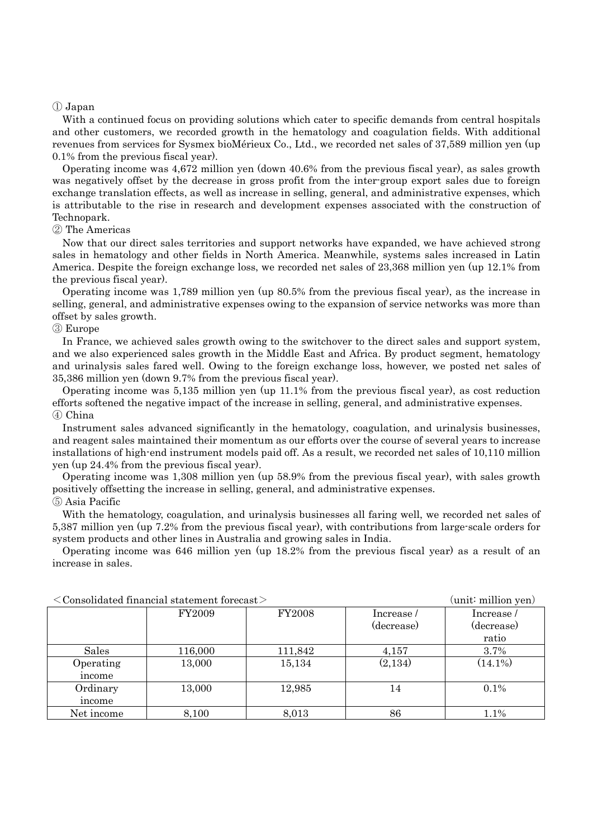### ① Japan

With a continued focus on providing solutions which cater to specific demands from central hospitals and other customers, we recorded growth in the hematology and coagulation fields. With additional revenues from services for Sysmex bioMérieux Co., Ltd., we recorded net sales of 37,589 million yen (up 0.1% from the previous fiscal year).

Operating income was 4,672 million yen (down 40.6% from the previous fiscal year), as sales growth was negatively offset by the decrease in gross profit from the inter-group export sales due to foreign exchange translation effects, as well as increase in selling, general, and administrative expenses, which is attributable to the rise in research and development expenses associated with the construction of Technopark.

### ② The Americas

Now that our direct sales territories and support networks have expanded, we have achieved strong sales in hematology and other fields in North America. Meanwhile, systems sales increased in Latin America. Despite the foreign exchange loss, we recorded net sales of 23,368 million yen (up 12.1% from the previous fiscal year).

Operating income was 1,789 million yen (up 80.5% from the previous fiscal year), as the increase in selling, general, and administrative expenses owing to the expansion of service networks was more than offset by sales growth.

#### ③ Europe

In France, we achieved sales growth owing to the switchover to the direct sales and support system, and we also experienced sales growth in the Middle East and Africa. By product segment, hematology and urinalysis sales fared well. Owing to the foreign exchange loss, however, we posted net sales of 35,386 million yen (down 9.7% from the previous fiscal year).

Operating income was 5,135 million yen (up 11.1% from the previous fiscal year), as cost reduction efforts softened the negative impact of the increase in selling, general, and administrative expenses. ④ China

Instrument sales advanced significantly in the hematology, coagulation, and urinalysis businesses, and reagent sales maintained their momentum as our efforts over the course of several years to increase installations of high-end instrument models paid off. As a result, we recorded net sales of 10,110 million yen (up 24.4% from the previous fiscal year).

Operating income was 1,308 million yen (up 58.9% from the previous fiscal year), with sales growth positively offsetting the increase in selling, general, and administrative expenses.

#### ⑤ Asia Pacific

With the hematology, coagulation, and urinalysis businesses all faring well, we recorded net sales of 5,387 million yen (up 7.2% from the previous fiscal year), with contributions from large-scale orders for system products and other lines in Australia and growing sales in India.

Operating income was 646 million yen (up 18.2% from the previous fiscal year) as a result of an increase in sales.

|              | $\langle$ Consolidated financial statement forecast $\rangle$ |               |            | (unit: million yen) |
|--------------|---------------------------------------------------------------|---------------|------------|---------------------|
|              | FY2009                                                        | <b>FY2008</b> | Increase/  | Increase /          |
|              |                                                               |               | (decrease) | (decrease)          |
|              |                                                               |               |            | ratio               |
| <b>Sales</b> | 116,000                                                       | 111,842       | 4,157      | 3.7%                |
| Operating    | 13,000                                                        | 15,134        | (2,134)    | $(14.1\%)$          |
| income       |                                                               |               |            |                     |
| Ordinary     | 13,000                                                        | 12,985        | 14         | $0.1\%$             |
| income       |                                                               |               |            |                     |
| Net income   | 8,100                                                         | 8,013         | 86         | 1.1%                |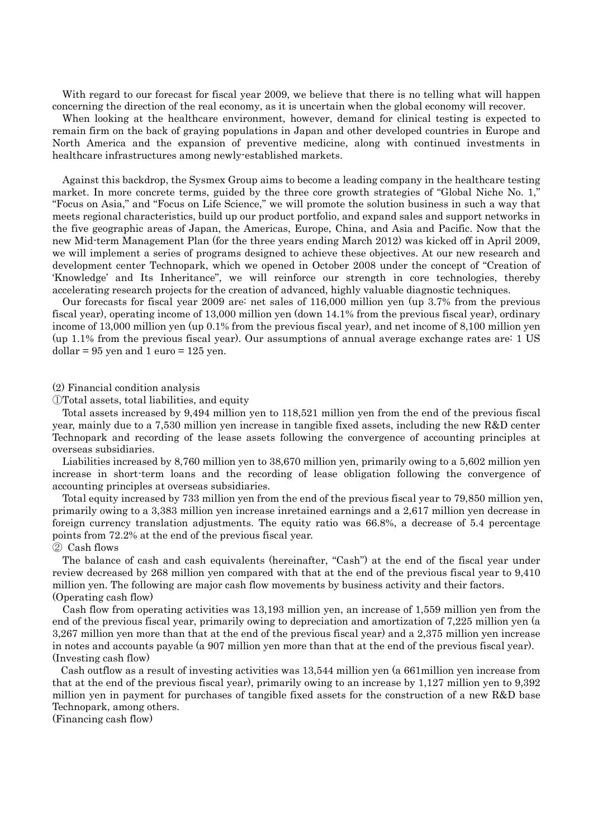With regard to our forecast for fiscal year 2009, we believe that there is no telling what will happen concerning the direction of the real economy, as it is uncertain when the global economy will recover.

When looking at the healthcare environment, however, demand for clinical testing is expected to remain firm on the back of graying populations in Japan and other developed countries in Europe and North America and the expansion of preventive medicine, along with continued investments in healthcare infrastructures among newly-established markets.

Against this backdrop, the Sysmex Group aims to become a leading company in the healthcare testing market. In more concrete terms, guided by the three core growth strategies of "Global Niche No. 1," "Focus on Asia," and "Focus on Life Science," we will promote the solution business in such a way that meets regional characteristics, build up our product portfolio, and expand sales and support networks in the five geographic areas of Japan, the Americas, Europe, China, and Asia and Pacific. Now that the new Mid-term Management Plan (for the three years ending March 2012) was kicked off in April 2009, we will implement a series of programs designed to achieve these objectives. At our new research and development center Technopark, which we opened in October 2008 under the concept of "Creation of 'Knowledge' and Its Inheritance", we will reinforce our strength in core technologies, thereby accelerating research projects for the creation of advanced, highly valuable diagnostic techniques.

Our forecasts for fiscal year 2009 are: net sales of 116,000 million yen (up 3.7% from the previous fiscal year), operating income of 13,000 million yen (down 14.1% from the previous fiscal year), ordinary income of 13,000 million yen (up 0.1% from the previous fiscal year), and net income of 8,100 million yen (up 1.1% from the previous fiscal year). Our assumptions of annual average exchange rates are: 1 US dollar =  $95$  yen and 1 euro =  $125$  yen.

#### (2) Financial condition analysis

①Total assets, total liabilities, and equity

Total assets increased by 9,494 million yen to 118,521 million yen from the end of the previous fiscal year, mainly due to a 7,530 million yen increase in tangible fixed assets, including the new R&D center Technopark and recording of the lease assets following the convergence of accounting principles at overseas subsidiaries.

Liabilities increased by 8,760 million yen to 38,670 million yen, primarily owing to a 5,602 million yen increase in short-term loans and the recording of lease obligation following the convergence of accounting principles at overseas subsidiaries.

Total equity increased by 733 million yen from the end of the previous fiscal year to 79,850 million yen, primarily owing to a 3,383 million yen increase inretained earnings and a 2,617 million yen decrease in foreign currency translation adjustments. The equity ratio was 66.8%, a decrease of 5.4 percentage points from 72.2% at the end of the previous fiscal year.

#### ② Cash flows

The balance of cash and cash equivalents (hereinafter, "Cash") at the end of the fiscal year under review decreased by 268 million yen compared with that at the end of the previous fiscal year to 9,410 million yen. The following are major cash flow movements by business activity and their factors. (Operating cash flow)

Cash flow from operating activities was 13,193 million yen, an increase of 1,559 million yen from the end of the previous fiscal year, primarily owing to depreciation and amortization of 7,225 million yen (a 3,267 million yen more than that at the end of the previous fiscal year) and a 2,375 million yen increase in notes and accounts payable (a 907 million yen more than that at the end of the previous fiscal year). (Investing cash flow)

Cash outflow as a result of investing activities was 13,544 million yen (a 661million yen increase from that at the end of the previous fiscal year), primarily owing to an increase by 1,127 million yen to 9,392 million yen in payment for purchases of tangible fixed assets for the construction of a new R&D base Technopark, among others.

(Financing cash flow)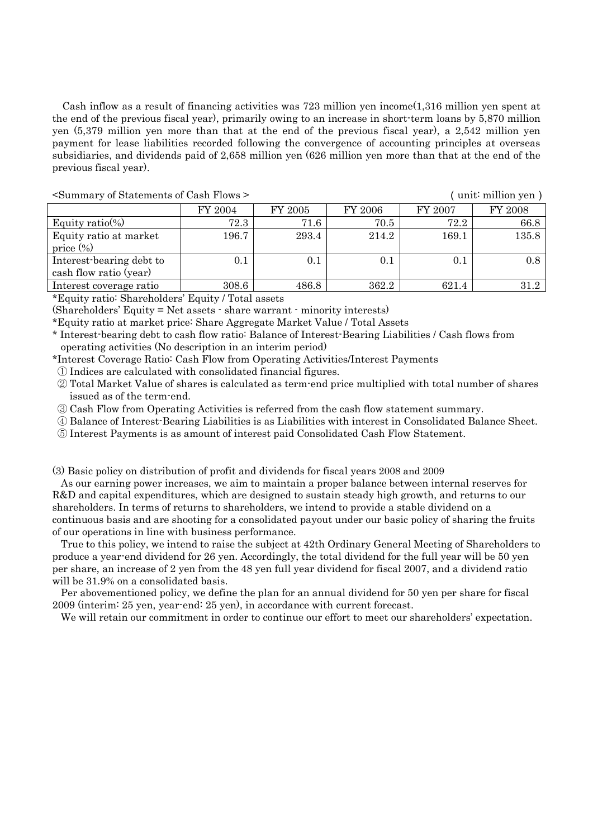Cash inflow as a result of financing activities was 723 million yen income(1,316 million yen spent at the end of the previous fiscal year), primarily owing to an increase in short-term loans by 5,870 million yen (5,379 million yen more than that at the end of the previous fiscal year), a 2,542 million yen payment for lease liabilities recorded following the convergence of accounting principles at overseas subsidiaries, and dividends paid of 2,658 million yen (626 million yen more than that at the end of the previous fiscal year).

|                          | FY 2004 | FY 2005 | FY 2006 | FY 2007 | FY 2008 |
|--------------------------|---------|---------|---------|---------|---------|
| Equity ratio(%)          | 72.3    | 71.6    | 70.5    | 72.2    | 66.8    |
| Equity ratio at market   | 196.7   | 293.4   | 214.2   | 169.1   | 135.8   |
| price $(\%)$             |         |         |         |         |         |
| Interest-bearing debt to | 0.1     | 0.1     | 0.1     | $0.1\,$ | 0.8     |
| cash flow ratio (year)   |         |         |         |         |         |
| Interest coverage ratio  | 308.6   | 486.8   | 362.2   | 621.4   | 31.2    |

### <Summary of Statements of Cash Flows > (unit: million yen)

\*Equity ratio: Shareholders' Equity / Total assets

(Shareholders' Equity = Net assets - share warrant - minority interests)

\*Equity ratio at market price: Share Aggregate Market Value / Total Assets

- \* Interest-bearing debt to cash flow ratio: Balance of Interest-Bearing Liabilities / Cash flows from operating activities (No description in an interim period)
- \*Interest Coverage Ratio: Cash Flow from Operating Activities/Interest Payments

① Indices are calculated with consolidated financial figures.

② Total Market Value of shares is calculated as term-end price multiplied with total number of shares issued as of the term-end.

- ③ Cash Flow from Operating Activities is referred from the cash flow statement summary.
- ④ Balance of Interest-Bearing Liabilities is as Liabilities with interest in Consolidated Balance Sheet.

⑤ Interest Payments is as amount of interest paid Consolidated Cash Flow Statement.

(3) Basic policy on distribution of profit and dividends for fiscal years 2008 and 2009

As our earning power increases, we aim to maintain a proper balance between internal reserves for R&D and capital expenditures, which are designed to sustain steady high growth, and returns to our shareholders. In terms of returns to shareholders, we intend to provide a stable dividend on a continuous basis and are shooting for a consolidated payout under our basic policy of sharing the fruits of our operations in line with business performance.

True to this policy, we intend to raise the subject at 42th Ordinary General Meeting of Shareholders to produce a year-end dividend for 26 yen. Accordingly, the total dividend for the full year will be 50 yen per share, an increase of 2 yen from the 48 yen full year dividend for fiscal 2007, and a dividend ratio will be 31.9% on a consolidated basis.

Per abovementioned policy, we define the plan for an annual dividend for 50 yen per share for fiscal 2009 (interim: 25 yen, year-end: 25 yen), in accordance with current forecast.

We will retain our commitment in order to continue our effort to meet our shareholders' expectation.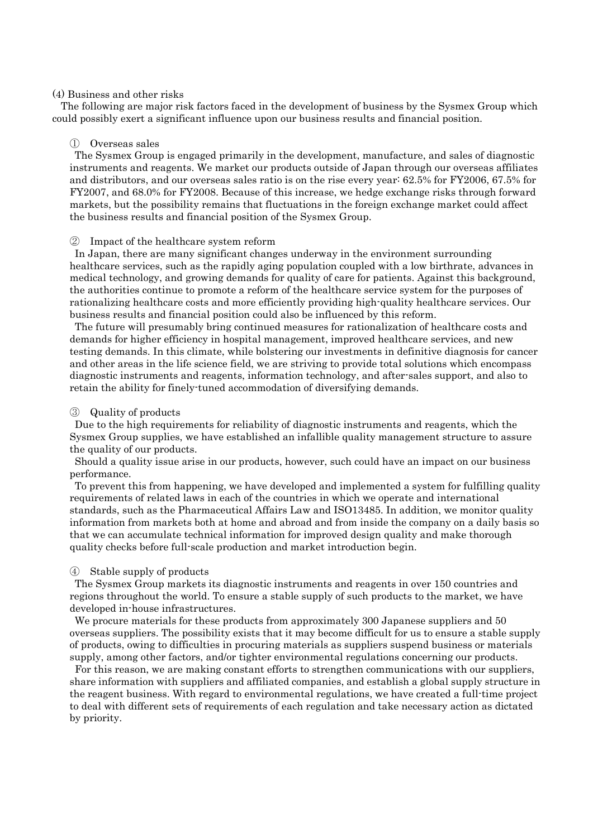#### (4) Business and other risks

The following are major risk factors faced in the development of business by the Sysmex Group which could possibly exert a significant influence upon our business results and financial position.

#### ① Overseas sales

The Sysmex Group is engaged primarily in the development, manufacture, and sales of diagnostic instruments and reagents. We market our products outside of Japan through our overseas affiliates and distributors, and our overseas sales ratio is on the rise every year: 62.5% for FY2006, 67.5% for FY2007, and 68.0% for FY2008. Because of this increase, we hedge exchange risks through forward markets, but the possibility remains that fluctuations in the foreign exchange market could affect the business results and financial position of the Sysmex Group.

#### ② Impact of the healthcare system reform

In Japan, there are many significant changes underway in the environment surrounding healthcare services, such as the rapidly aging population coupled with a low birthrate, advances in medical technology, and growing demands for quality of care for patients. Against this background, the authorities continue to promote a reform of the healthcare service system for the purposes of rationalizing healthcare costs and more efficiently providing high-quality healthcare services. Our business results and financial position could also be influenced by this reform.

The future will presumably bring continued measures for rationalization of healthcare costs and demands for higher efficiency in hospital management, improved healthcare services, and new testing demands. In this climate, while bolstering our investments in definitive diagnosis for cancer and other areas in the life science field, we are striving to provide total solutions which encompass diagnostic instruments and reagents, information technology, and after-sales support, and also to retain the ability for finely-tuned accommodation of diversifying demands.

#### ③ Quality of products

Due to the high requirements for reliability of diagnostic instruments and reagents, which the Sysmex Group supplies, we have established an infallible quality management structure to assure the quality of our products.

Should a quality issue arise in our products, however, such could have an impact on our business performance.

To prevent this from happening, we have developed and implemented a system for fulfilling quality requirements of related laws in each of the countries in which we operate and international standards, such as the Pharmaceutical Affairs Law and ISO13485. In addition, we monitor quality information from markets both at home and abroad and from inside the company on a daily basis so that we can accumulate technical information for improved design quality and make thorough quality checks before full-scale production and market introduction begin.

#### ④ Stable supply of products

The Sysmex Group markets its diagnostic instruments and reagents in over 150 countries and regions throughout the world. To ensure a stable supply of such products to the market, we have developed in-house infrastructures.

We procure materials for these products from approximately 300 Japanese suppliers and 50 overseas suppliers. The possibility exists that it may become difficult for us to ensure a stable supply of products, owing to difficulties in procuring materials as suppliers suspend business or materials supply, among other factors, and/or tighter environmental regulations concerning our products.

For this reason, we are making constant efforts to strengthen communications with our suppliers, share information with suppliers and affiliated companies, and establish a global supply structure in the reagent business. With regard to environmental regulations, we have created a full-time project to deal with different sets of requirements of each regulation and take necessary action as dictated by priority.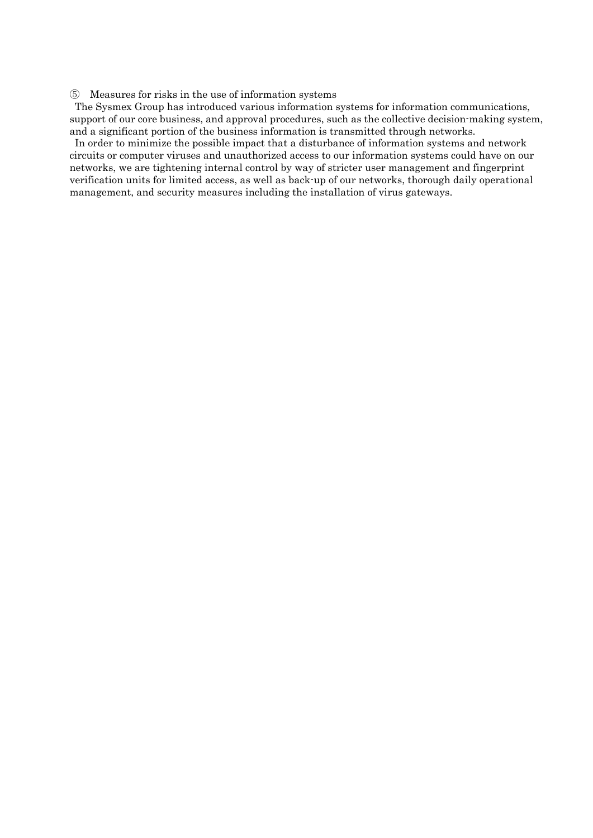⑤ Measures for risks in the use of information systems

The Sysmex Group has introduced various information systems for information communications, support of our core business, and approval procedures, such as the collective decision-making system, and a significant portion of the business information is transmitted through networks.

In order to minimize the possible impact that a disturbance of information systems and network circuits or computer viruses and unauthorized access to our information systems could have on our networks, we are tightening internal control by way of stricter user management and fingerprint verification units for limited access, as well as back-up of our networks, thorough daily operational management, and security measures including the installation of virus gateways.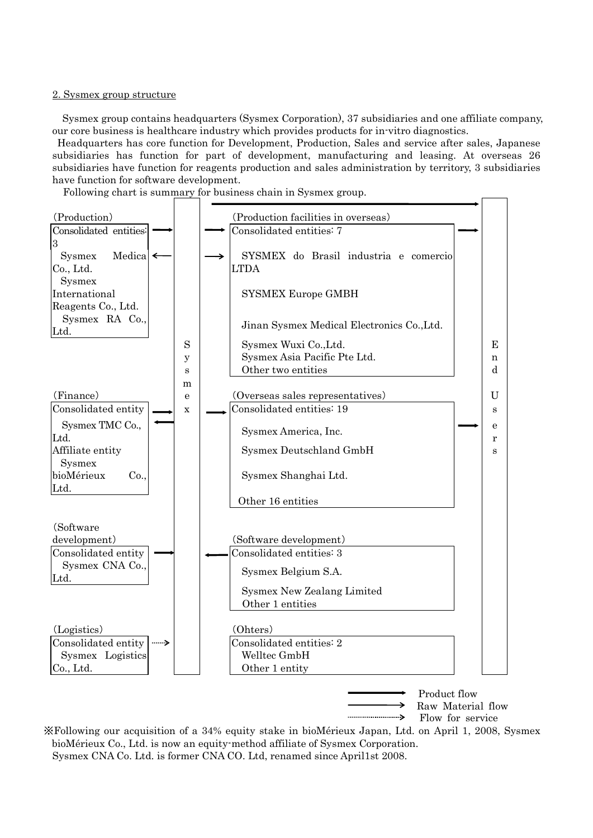#### 2. Sysmex group structure

Sysmex group contains headquarters (Sysmex Corporation), 37 subsidiaries and one affiliate company, our core business is healthcare industry which provides products for in-vitro diagnostics.

 Headquarters has core function for Development, Production, Sales and service after sales, Japanese subsidiaries has function for part of development, manufacturing and leasing. At overseas 26 subsidiaries have function for reagents production and sales administration by territory, 3 subsidiaries have function for software development.

Following chart is summary for business chain in Sysmex group.



※Following our acquisition of a 34% equity stake in bioMérieux Japan, Ltd. on April 1, 2008, Sysmex bioMérieux Co., Ltd. is now an equity-method affiliate of Sysmex Corporation. Sysmex CNA Co. Ltd. is former CNA CO. Ltd, renamed since April1st 2008.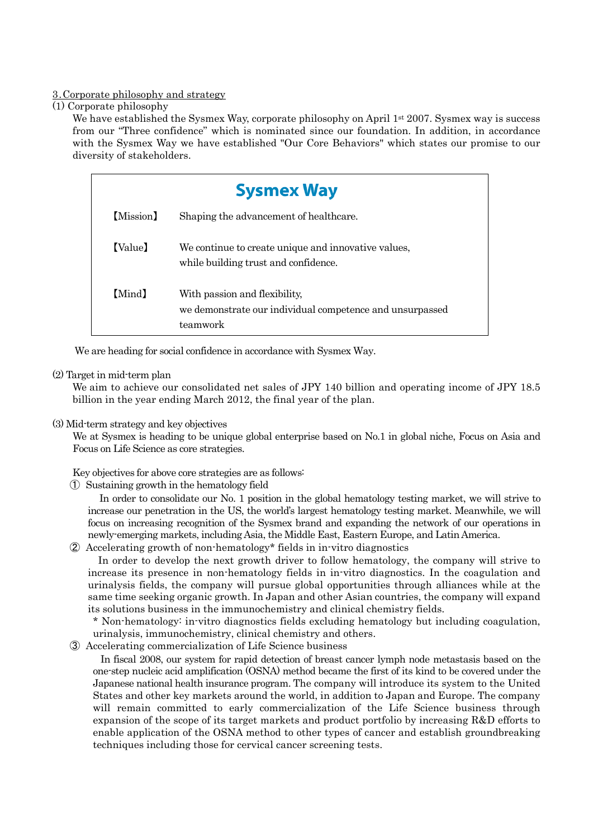## 3.Corporate philosophy and strategy

(1) Corporate philosophy

We have established the Sysmex Way, corporate philosophy on April 1<sup>st</sup> 2007. Sysmex way is success from our "Three confidence" which is nominated since our foundation. In addition, in accordance with the Sysmex Way we have established "Our Core Behaviors" which states our promise to our diversity of stakeholders.

| <b>Sysmex Way</b> |                                                                                                       |  |  |  |  |  |
|-------------------|-------------------------------------------------------------------------------------------------------|--|--|--|--|--|
| [Mission]         | Shaping the advancement of healthcare.                                                                |  |  |  |  |  |
| [Value]           | We continue to create unique and innovative values,<br>while building trust and confidence.           |  |  |  |  |  |
| [Mind]            | With passion and flexibility,<br>we demonstrate our individual competence and unsurpassed<br>teamwork |  |  |  |  |  |

We are heading for social confidence in accordance with Sysmex Way.

### (2) Target in mid-term plan

We aim to achieve our consolidated net sales of JPY 140 billion and operating income of JPY 18.5 billion in the year ending March 2012, the final year of the plan.

(3) Mid-term strategy and key objectives

We at Sysmex is heading to be unique global enterprise based on No.1 in global niche, Focus on Asia and Focus on Life Science as core strategies.

Key objectives for above core strategies are as follows:

① Sustaining growth in the hematology field

In order to consolidate our No. 1 position in the global hematology testing market, we will strive to increase our penetration in the US, the world's largest hematology testing market. Meanwhile, we will focus on increasing recognition of the Sysmex brand and expanding the network of our operations in newly-emerging markets, including Asia, the Middle East, Eastern Europe, and Latin America.

② Accelerating growth of non-hematology\* fields in in-vitro diagnostics

In order to develop the next growth driver to follow hematology, the company will strive to increase its presence in non-hematology fields in in-vitro diagnostics. In the coagulation and urinalysis fields, the company will pursue global opportunities through alliances while at the same time seeking organic growth. In Japan and other Asian countries, the company will expand its solutions business in the immunochemistry and clinical chemistry fields.

\* Non-hematology: in-vitro diagnostics fields excluding hematology but including coagulation, urinalysis, immunochemistry, clinical chemistry and others.

③ Accelerating commercialization of Life Science business

In fiscal 2008, our system for rapid detection of breast cancer lymph node metastasis based on the one-step nucleic acid amplification (OSNA) method became the first of its kind to be covered under the Japanese national health insurance program. The company will introduce its system to the United States and other key markets around the world, in addition to Japan and Europe. The company will remain committed to early commercialization of the Life Science business through expansion of the scope of its target markets and product portfolio by increasing R&D efforts to enable application of the OSNA method to other types of cancer and establish groundbreaking techniques including those for cervical cancer screening tests.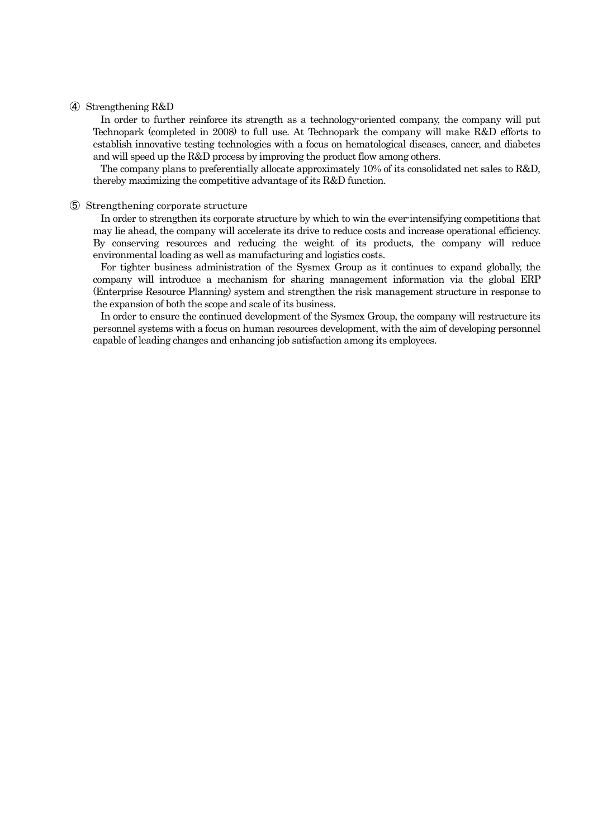### ④ Strengthening R&D

In order to further reinforce its strength as a technology-oriented company, the company will put Technopark (completed in 2008) to full use. At Technopark the company will make R&D efforts to establish innovative testing technologies with a focus on hematological diseases, cancer, and diabetes and will speed up the R&D process by improving the product flow among others.

The company plans to preferentially allocate approximately 10% of its consolidated net sales to R&D, thereby maximizing the competitive advantage of its R&D function.

#### ⑤ Strengthening corporate structure

In order to strengthen its corporate structure by which to win the ever-intensifying competitions that may lie ahead, the company will accelerate its drive to reduce costs and increase operational efficiency. By conserving resources and reducing the weight of its products, the company will reduce environmental loading as well as manufacturing and logistics costs.

For tighter business administration of the Sysmex Group as it continues to expand globally, the company will introduce a mechanism for sharing management information via the global ERP (Enterprise Resource Planning) system and strengthen the risk management structure in response to the expansion of both the scope and scale of its business.

In order to ensure the continued development of the Sysmex Group, the company will restructure its personnel systems with a focus on human resources development, with the aim of developing personnel capable of leading changes and enhancing job satisfaction among its employees.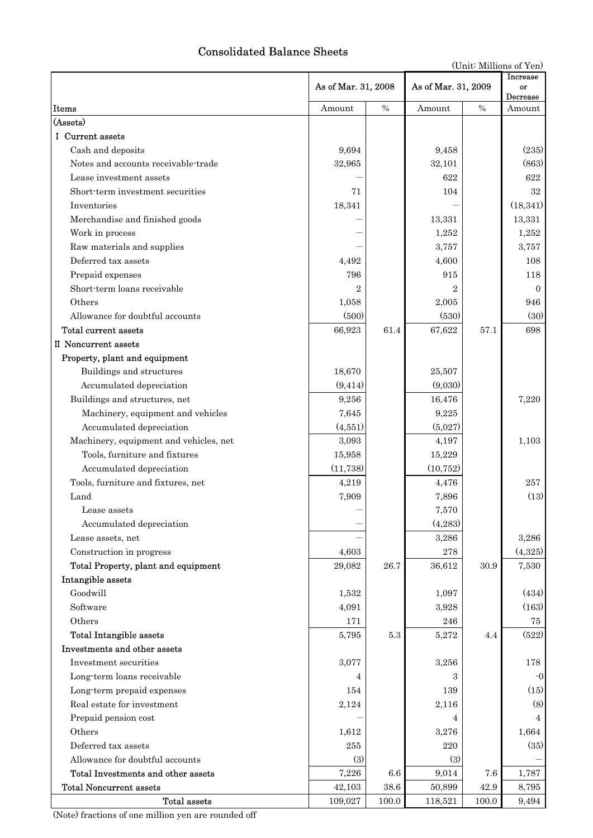# Consolidated Balance Sheets

|                                        |                     |          | As of Mar. 31, 2009 |          | Increase       |  |
|----------------------------------------|---------------------|----------|---------------------|----------|----------------|--|
|                                        | As of Mar. 31, 2008 |          |                     |          | or<br>Decrease |  |
| <b>Items</b>                           | Amount              | $\%$     | Amount              | $\%$     | Amount         |  |
| (Assets)                               |                     |          |                     |          |                |  |
| I Current assets                       |                     |          |                     |          |                |  |
| Cash and deposits                      | 9,694               |          | 9,458               |          | (235)          |  |
| Notes and accounts receivable-trade    | 32,965              |          | 32,101              |          | (863)          |  |
| Lease investment assets                |                     |          | 622                 |          | 622            |  |
| Short-term investment securities       | 71                  |          | 104                 |          | 32             |  |
| Inventories                            | 18,341              |          |                     |          | (18, 341)      |  |
| Merchandise and finished goods         |                     |          | 13,331              |          | 13,331         |  |
| Work in process                        |                     |          | 1,252               |          | 1,252          |  |
| Raw materials and supplies             |                     |          | 3,757               |          | 3,757          |  |
| Deferred tax assets                    | 4,492               |          | 4,600               |          | 108            |  |
| Prepaid expenses                       | 796                 |          | 915                 |          | 118            |  |
| Short-term loans receivable            | $\overline{2}$      |          | $\overline{2}$      |          | $\Omega$       |  |
| Others                                 | 1,058               |          | 2,005               |          | 946            |  |
| Allowance for doubtful accounts        | (500)               |          | (530)               |          | (30)           |  |
| Total current assets                   | 66,923              | 61.4     | 67,622              | 57.1     | 698            |  |
| II Noncurrent assets                   |                     |          |                     |          |                |  |
| Property, plant and equipment          |                     |          |                     |          |                |  |
| Buildings and structures               | 18,670              |          | 25,507              |          |                |  |
| Accumulated depreciation               | (9, 414)            |          | (9,030)             |          |                |  |
| Buildings and structures, net          | 9,256               |          | 16,476              |          | 7,220          |  |
| Machinery, equipment and vehicles      | 7,645               |          | 9,225               |          |                |  |
| Accumulated depreciation               | (4,551)             |          | (5,027)             |          |                |  |
| Machinery, equipment and vehicles, net | 3,093               |          | 4,197               |          | 1,103          |  |
| Tools, furniture and fixtures          | 15,958              |          | 15,229              |          |                |  |
| Accumulated depreciation               | (11, 738)           |          | (10, 752)           |          |                |  |
| Tools, furniture and fixtures, net     | 4,219               |          | 4,476               |          | 257            |  |
| Land                                   | 7,909               |          | 7,896               |          | (13)           |  |
| Lease assets                           |                     |          | 7,570               |          |                |  |
| Accumulated depreciation               |                     |          | (4,283)             |          |                |  |
| Lease assets, net                      |                     |          | 3,286               |          | 3,286          |  |
| Construction in progress               | 4,603               |          | 278                 |          | (4,325)        |  |
| Total Property, plant and equipment    | 29,082              | 26.7     | 36,612              | 30.9     | 7,530          |  |
| Intangible assets                      |                     |          |                     |          |                |  |
| Goodwill                               | 1,532               |          | 1,097               |          | (434)          |  |
| Software                               | 4,091               |          | 3,928               |          | (163)          |  |
| Others                                 | 171                 |          | 246                 |          | 75             |  |
| Total Intangible assets                | 5,795               | $5.3\,$  | 5,272               | 4.4      | (522)          |  |
| Investments and other assets           |                     |          |                     |          |                |  |
| Investment securities                  | 3,077               |          | 3,256               |          | 178            |  |
| Long-term loans receivable             | 4                   |          | 3                   |          | $-0$           |  |
| Long-term prepaid expenses             | 154                 |          | 139                 |          | (15)           |  |
| Real estate for investment             | $2,\!124$           |          | 2,116               |          | (8)            |  |
| Prepaid pension cost                   |                     |          | 4                   |          | 4              |  |
| Others                                 | 1,612               |          | 3,276               |          | 1,664          |  |
| Deferred tax assets                    | 255                 |          | 220                 |          | (35)           |  |
| Allowance for doubtful accounts        | (3)                 |          | (3)                 |          |                |  |
| Total Investments and other assets     | 7,226               | 6.6      | 9,014               | 7.6      | 1,787          |  |
| <b>Total Noncurrent assets</b>         | 42,103              | $38.6\,$ | 50,899              | $42.9\,$ | 8,795          |  |
| Total assets                           | 109,027             | 100.0    | 118,521             | 100.0    | 9,494          |  |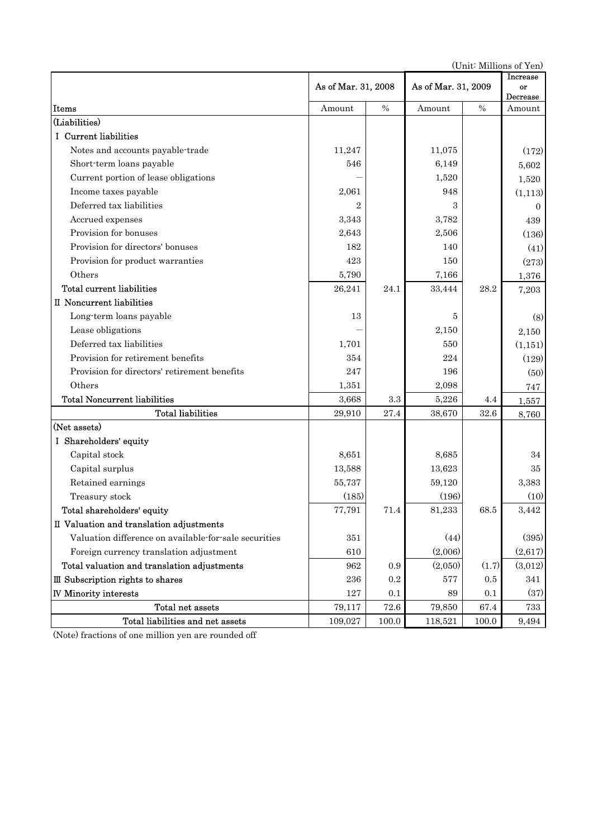(Unit: Millions of Yen)

|                                                       | As of Mar. 31, 2008 |       | As of Mar. 31, 2009 | <b>Increase</b><br>or<br>Decrease |          |
|-------------------------------------------------------|---------------------|-------|---------------------|-----------------------------------|----------|
| Items                                                 | Amount              | $\%$  | Amount              | $\%$                              | Amount   |
| (Liabilities)                                         |                     |       |                     |                                   |          |
| I Current liabilities                                 |                     |       |                     |                                   |          |
| Notes and accounts payable-trade                      | 11,247              |       | 11,075              |                                   | (172)    |
| Short-term loans payable                              | 546                 |       | 6,149               |                                   | 5,602    |
| Current portion of lease obligations                  |                     |       | 1,520               |                                   | 1,520    |
| Income taxes payable                                  | 2,061               |       | 948                 |                                   | (1,113)  |
| Deferred tax liabilities                              | 2                   |       | 3                   |                                   | $\Omega$ |
| Accrued expenses                                      | 3,343               |       | 3,782               |                                   | 439      |
| Provision for bonuses                                 | 2,643               |       | 2,506               |                                   | (136)    |
| Provision for directors' bonuses                      | 182                 |       | 140                 |                                   | (41)     |
| Provision for product warranties                      | 423                 |       | 150                 |                                   | (273)    |
| Others                                                | 5,790               |       | 7,166               |                                   | 1,376    |
| Total current liabilities                             | 26,241              | 24.1  | 33,444              | 28.2                              | 7,203    |
| II Noncurrent liabilities                             |                     |       |                     |                                   |          |
| Long-term loans payable                               | 13                  |       | 5                   |                                   | (8)      |
| Lease obligations                                     |                     |       | 2,150               |                                   | 2,150    |
| Deferred tax liabilities                              | 1,701               |       | 550                 |                                   | (1, 151) |
| Provision for retirement benefits                     | 354                 |       | 224                 |                                   | (129)    |
| Provision for directors' retirement benefits          | 247                 |       | 196                 |                                   | (50)     |
| Others                                                | 1,351               |       | 2,098               |                                   | 747      |
| <b>Total Noncurrent liabilities</b>                   | 3,668               | 3.3   | 5,226               | 4.4                               | 1,557    |
| <b>Total liabilities</b>                              | 29,910              | 27.4  | 38,670              | 32.6                              | 8,760    |
| (Net assets)                                          |                     |       |                     |                                   |          |
| I Shareholders' equity                                |                     |       |                     |                                   |          |
| Capital stock                                         | 8,651               |       | 8,685               |                                   | 34       |
| Capital surplus                                       | 13,588              |       | 13,623              |                                   | 35       |
| Retained earnings                                     | 55,737              |       | 59,120              |                                   | 3,383    |
| Treasury stock                                        | (185)               |       | (196)               |                                   | (10)     |
| Total shareholders' equity                            | 77,791              | 71.4  | 81,233              | 68.5                              | 3,442    |
| II Valuation and translation adjustments              |                     |       |                     |                                   |          |
| Valuation difference on available for sale securities | 351                 |       | (44)                |                                   | (395)    |
| Foreign currency translation adjustment               | 610                 |       | (2,006)             |                                   | (2,617)  |
| Total valuation and translation adjustments           | 962                 | 0.9   | (2,050)             | (1.7)                             | (3,012)  |
| III Subscription rights to shares                     | 236                 | 0.2   | 577                 | 0.5                               | 341      |
| <b>IV Minority interests</b>                          | 127                 | 0.1   | 89                  | 0.1                               | (37)     |
| Total net assets                                      | 79,117              | 72.6  | 79,850              | 67.4                              | 733      |
| Total liabilities and net assets                      | 109,027             | 100.0 | 118,521             | 100.0                             | 9,494    |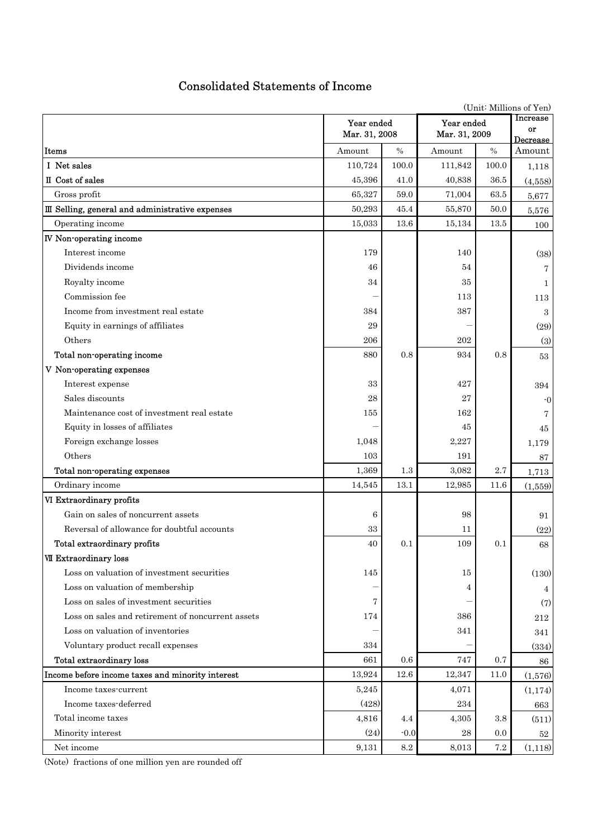# Consolidated Statements of Income

|                                                   | Year ended<br>Mar. 31, 2008 |                 | Year ended<br>Mar. 31, 2009 |           | Increase<br>or<br>Decrease |  |  |  |
|---------------------------------------------------|-----------------------------|-----------------|-----------------------------|-----------|----------------------------|--|--|--|
| Items                                             | Amount                      | $\frac{0}{0}$   | Amount                      | $\%$      | Amount                     |  |  |  |
| I Net sales                                       | 110,724                     | 100.0           | 111,842                     | 100.0     | 1,118                      |  |  |  |
| II Cost of sales                                  | 45,396                      | 41.0            | 40,838                      | 36.5      | (4,558)                    |  |  |  |
| Gross profit                                      | 65,327                      | 59.0            | 71,004                      | 63.5      | 5,677                      |  |  |  |
| III Selling, general and administrative expenses  | 50,293                      | 45.4            | 55,870                      | 50.0      | 5,576                      |  |  |  |
| Operating income                                  | 15,033                      | 13.6            | 15,134                      | 13.5      | 100                        |  |  |  |
| <b>IV</b> Non-operating income                    |                             |                 |                             |           |                            |  |  |  |
| Interest income                                   | 179                         |                 | 140                         |           | (38)                       |  |  |  |
| Dividends income                                  | 46                          |                 | 54                          |           | 7                          |  |  |  |
| Royalty income                                    | 34                          |                 | 35                          |           | 1                          |  |  |  |
| Commission fee                                    |                             |                 | 113                         |           | 113                        |  |  |  |
| Income from investment real estate                | 384                         |                 | 387                         |           | 3                          |  |  |  |
| Equity in earnings of affiliates                  | 29                          |                 |                             |           | (29)                       |  |  |  |
| Others                                            | 206                         |                 | 202                         |           | (3)                        |  |  |  |
| Total non-operating income                        | 880                         | 0.8             | 934                         | 0.8       | 53                         |  |  |  |
| V Non-operating expenses                          |                             |                 |                             |           |                            |  |  |  |
| Interest expense                                  | 33                          |                 | 427                         |           | 394                        |  |  |  |
| Sales discounts                                   | 28                          |                 | 27                          |           | $-0$                       |  |  |  |
| Maintenance cost of investment real estate        | 155                         |                 | 162                         |           |                            |  |  |  |
| Equity in losses of affiliates                    |                             |                 | 45                          |           | 45                         |  |  |  |
| Foreign exchange losses                           | 1,048                       |                 | 2,227                       |           | 1,179                      |  |  |  |
| Others                                            | 103                         |                 | 191                         |           | 87                         |  |  |  |
| Total non-operating expenses                      | 1,369                       | 1.3             | 3,082                       | 2.7       | 1,713                      |  |  |  |
| Ordinary income                                   | 14,545                      | 13.1            | 12,985                      | 11.6      | (1,559)                    |  |  |  |
| VI Extraordinary profits                          |                             |                 |                             |           |                            |  |  |  |
| Gain on sales of noncurrent assets                | 6                           |                 | 98                          |           | 91                         |  |  |  |
| Reversal of allowance for doubtful accounts       | 33                          |                 | 11                          |           | (22)                       |  |  |  |
| Total extraordinary profits                       | $40\,$                      | $0.1\,$         | 109                         | $0.1\,$   | 68                         |  |  |  |
| VII Extraordinary loss                            |                             |                 |                             |           |                            |  |  |  |
| Loss on valuation of investment securities        | 145                         |                 | 15                          |           | (130)                      |  |  |  |
| Loss on valuation of membership                   |                             |                 | 4                           |           | 4                          |  |  |  |
| Loss on sales of investment securities            | 7                           |                 |                             |           | (7)                        |  |  |  |
| Loss on sales and retirement of noncurrent assets | 174                         |                 | 386                         |           | 212                        |  |  |  |
| Loss on valuation of inventories                  |                             |                 | 341                         |           | 341                        |  |  |  |
| Voluntary product recall expenses                 | 334                         |                 |                             |           | (334)                      |  |  |  |
| <b>Total extraordinary loss</b>                   | 661                         | 0.6             | 747                         | 0.7       | 86                         |  |  |  |
| Income before income taxes and minority interest  | 13,924                      | 12.6            | 12,347                      | 11.0      | (1,576)                    |  |  |  |
| Income taxes-current                              | 5,245                       |                 | 4,071                       |           | (1,174)                    |  |  |  |
| Income taxes-deferred                             | (428)                       |                 | 234                         |           | 663                        |  |  |  |
| Total income taxes                                | 4,816                       | 4.4             | 4,305                       | 3.8       | (511)                      |  |  |  |
| Minority interest                                 | (24)                        | $-0.0$          | $\bf{28}$                   | 0.0       | $52\,$                     |  |  |  |
| Net income                                        | 9,131                       | $\!\!\!\!\!8.2$ | 8,013                       | $\!\!7.2$ | (1,118)                    |  |  |  |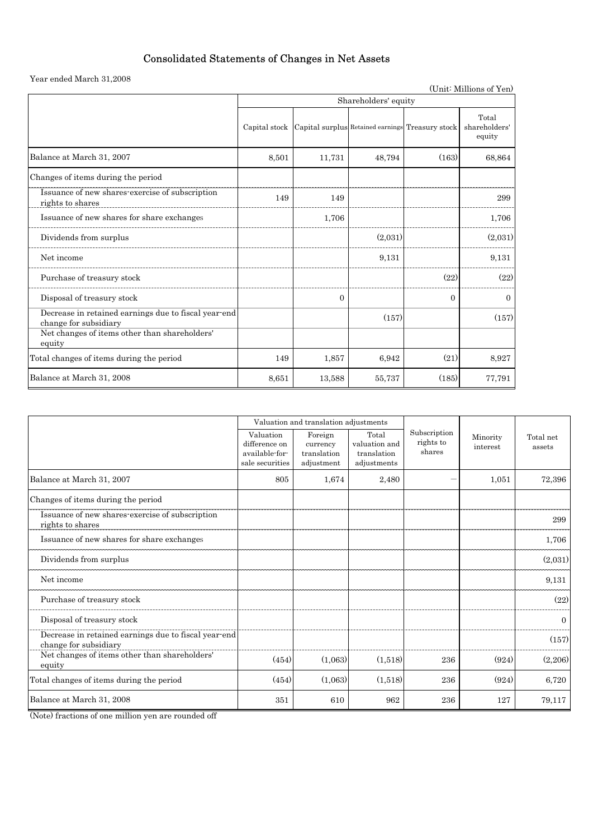# Consolidated Statements of Changes in Net Assets

Year ended March 31,2008

|                                                                               |                      |                |                                                  |          | (Unit: Millions of Yen)          |  |  |  |
|-------------------------------------------------------------------------------|----------------------|----------------|--------------------------------------------------|----------|----------------------------------|--|--|--|
|                                                                               | Shareholders' equity |                |                                                  |          |                                  |  |  |  |
|                                                                               | Capital stock        |                | Capital surplus Retained earnings Treasury stock |          | Total<br>shareholders'<br>equity |  |  |  |
| Balance at March 31, 2007                                                     | 8,501                | 11,731         | 48,794                                           | (163)    | 68,864                           |  |  |  |
| Changes of items during the period                                            |                      |                |                                                  |          |                                  |  |  |  |
| Issuance of new shares-exercise of subscription<br>rights to shares           | 149                  | 149            |                                                  |          | 299                              |  |  |  |
| Issuance of new shares for share exchanges                                    |                      | 1,706          |                                                  |          | 1,706                            |  |  |  |
| Dividends from surplus                                                        |                      |                | (2.031)                                          |          | (2,031)                          |  |  |  |
| Net income                                                                    |                      |                | 9,131                                            |          | 9,131                            |  |  |  |
| Purchase of treasury stock                                                    |                      |                |                                                  | (22)     | (22)                             |  |  |  |
| Disposal of treasury stock                                                    |                      | $\overline{0}$ |                                                  | $\Omega$ | $\mathbf{0}$                     |  |  |  |
| Decrease in retained earnings due to fiscal year-end<br>change for subsidiary |                      |                | (157)                                            |          | (157)                            |  |  |  |
| Net changes of items other than shareholders'<br>equity                       |                      |                |                                                  |          |                                  |  |  |  |
| Total changes of items during the period                                      | 149                  | 1,857          | 6,942                                            | (21)     | 8,927                            |  |  |  |
| Balance at March 31, 2008                                                     | 8,651                | 13,588         | 55,737                                           | (185)    | 77,791                           |  |  |  |

|                                                                               |                                                                 | Valuation and translation adjustments            |                                                      |                                     |                      |                     |  |
|-------------------------------------------------------------------------------|-----------------------------------------------------------------|--------------------------------------------------|------------------------------------------------------|-------------------------------------|----------------------|---------------------|--|
|                                                                               | Valuation<br>difference on<br>available-for-<br>sale securities | Foreign<br>currency<br>translation<br>adjustment | Total<br>valuation and<br>translation<br>adjustments | Subscription<br>rights to<br>shares | Minority<br>interest | Total net<br>assets |  |
| Balance at March 31, 2007                                                     | 805                                                             | 1,674                                            | 2,480                                                |                                     | 1,051                | 72,396              |  |
| Changes of items during the period                                            |                                                                 |                                                  |                                                      |                                     |                      |                     |  |
| Issuance of new shares-exercise of subscription<br>rights to shares           |                                                                 |                                                  |                                                      |                                     |                      | 299                 |  |
| Issuance of new shares for share exchanges                                    |                                                                 |                                                  |                                                      |                                     |                      | 1,706               |  |
| Dividends from surplus                                                        |                                                                 |                                                  |                                                      |                                     |                      | (2,031)             |  |
| Net income                                                                    |                                                                 |                                                  |                                                      |                                     |                      | 9,131               |  |
| Purchase of treasury stock                                                    |                                                                 |                                                  |                                                      |                                     |                      | (22)                |  |
| Disposal of treasury stock                                                    |                                                                 |                                                  |                                                      |                                     |                      | $\mathbf{0}$        |  |
| Decrease in retained earnings due to fiscal year-end<br>change for subsidiary |                                                                 |                                                  |                                                      |                                     |                      | (157)               |  |
| Net changes of items other than shareholders'<br>equity                       | (454)                                                           | (1,063)                                          | (1,518)                                              | 236                                 | (924)                | (2,206)             |  |
| Total changes of items during the period                                      | (454)                                                           | (1,063)                                          | (1,518)                                              | 236                                 | (924)                | 6,720               |  |
| Balance at March 31, 2008                                                     | 351                                                             | 610                                              | 962                                                  | 236                                 | 127                  | 79,117              |  |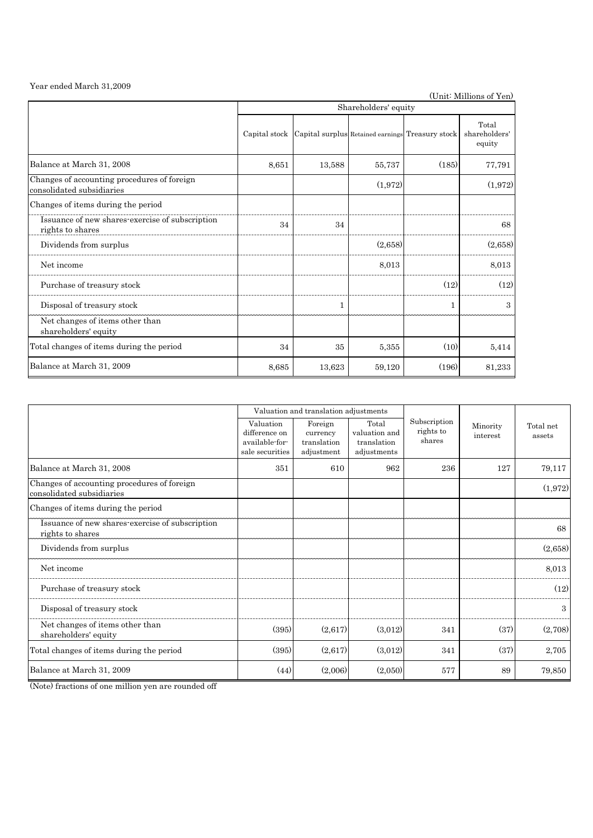Year ended March 31,2009

(Unit: Millions of Yen)

|                                                                          | Shareholders' equity |              |         |                                                  |                                  |  |  |  |
|--------------------------------------------------------------------------|----------------------|--------------|---------|--------------------------------------------------|----------------------------------|--|--|--|
|                                                                          | Capital stock        |              |         | Capital surplus Retained earnings Treasury stock | Total<br>shareholders'<br>equity |  |  |  |
| Balance at March 31, 2008                                                | 8,651                | 13,588       | 55,737  | (185)                                            | 77,791                           |  |  |  |
| Changes of accounting procedures of foreign<br>consolidated subsidiaries |                      |              | (1,972) |                                                  | (1,972)                          |  |  |  |
| Changes of items during the period                                       |                      |              |         |                                                  |                                  |  |  |  |
| Issuance of new shares-exercise of subscription<br>rights to shares      | 34                   | 34           |         |                                                  | 68                               |  |  |  |
| Dividends from surplus                                                   |                      |              | (2,658) |                                                  | (2,658)                          |  |  |  |
| Net income                                                               |                      |              | 8,013   |                                                  | 8,013                            |  |  |  |
| Purchase of treasury stock                                               |                      |              |         | (12)                                             | (12)                             |  |  |  |
| Disposal of treasury stock                                               |                      | $\mathbf{1}$ |         | 1                                                | 3                                |  |  |  |
| Net changes of items other than<br>shareholders' equity                  |                      |              |         |                                                  |                                  |  |  |  |
| Total changes of items during the period                                 | 34                   | 35           | 5,355   | (10)                                             | 5,414                            |  |  |  |
| Balance at March 31, 2009                                                | 8,685                | 13,623       | 59,120  | (196)                                            | 81,233                           |  |  |  |

|                                                                          |                                                                 | Valuation and translation adjustments            |                                                      |                                     |                      |                     |  |
|--------------------------------------------------------------------------|-----------------------------------------------------------------|--------------------------------------------------|------------------------------------------------------|-------------------------------------|----------------------|---------------------|--|
|                                                                          | Valuation<br>difference on<br>available-for-<br>sale securities | Foreign<br>currency<br>translation<br>adjustment | Total<br>valuation and<br>translation<br>adjustments | Subscription<br>rights to<br>shares | Minority<br>interest | Total net<br>assets |  |
| Balance at March 31, 2008                                                | 351                                                             | 610                                              | 962                                                  | 236                                 | 127                  | 79,117              |  |
| Changes of accounting procedures of foreign<br>consolidated subsidiaries |                                                                 |                                                  |                                                      |                                     |                      | (1,972)             |  |
| Changes of items during the period                                       |                                                                 |                                                  |                                                      |                                     |                      |                     |  |
| Issuance of new shares-exercise of subscription<br>rights to shares      |                                                                 |                                                  |                                                      |                                     |                      | 68                  |  |
| Dividends from surplus                                                   |                                                                 |                                                  |                                                      |                                     |                      | (2,658)             |  |
| Net income                                                               |                                                                 |                                                  |                                                      |                                     |                      | 8,013               |  |
| Purchase of treasury stock                                               |                                                                 |                                                  |                                                      |                                     |                      | (12)                |  |
| Disposal of treasury stock                                               |                                                                 |                                                  |                                                      |                                     |                      | 3                   |  |
| Net changes of items other than<br>shareholders' equity                  | (395)                                                           | (2,617)                                          | (3,012)                                              | 341                                 | (37)                 | (2,708)             |  |
| Total changes of items during the period                                 | (395)                                                           | (2,617)                                          | (3.012)                                              | 341                                 | (37)                 | 2,705               |  |
| Balance at March 31, 2009                                                | (44)                                                            | (2,006)                                          | (2,050)                                              | 577                                 | 89                   | 79,850              |  |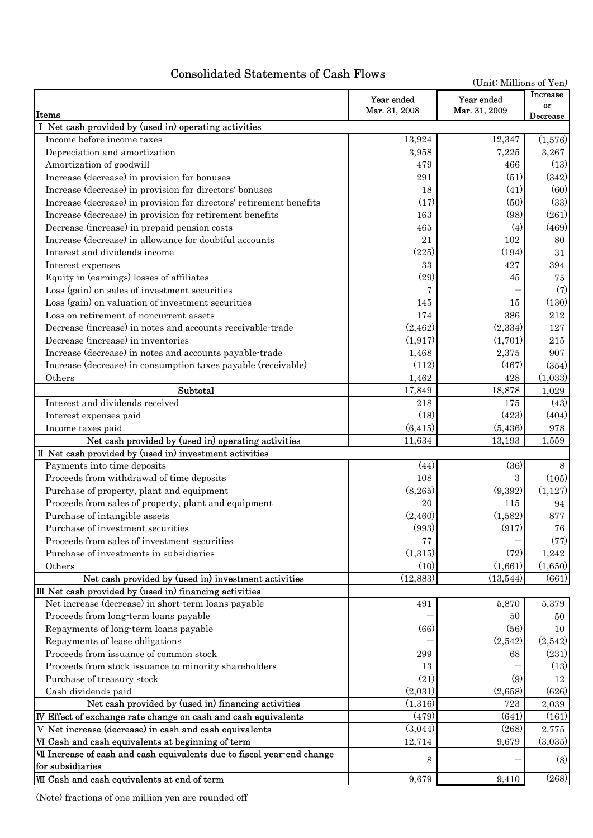# Consolidated Statements of Cash Flows

| (Unit: Millions of Yen)                                                 |                             |                             |                            |  |  |  |
|-------------------------------------------------------------------------|-----------------------------|-----------------------------|----------------------------|--|--|--|
| Items                                                                   | Year ended<br>Mar. 31, 2008 | Year ended<br>Mar. 31, 2009 | Increase<br>or<br>Decrease |  |  |  |
| Net cash provided by (used in) operating activities                     |                             |                             |                            |  |  |  |
| Income before income taxes                                              | 13,924                      | 12,347                      | (1,576)                    |  |  |  |
| Depreciation and amortization                                           | 3,958                       | 7,225                       | 3,267                      |  |  |  |
| Amortization of goodwill                                                | 479                         | 466                         | (13)                       |  |  |  |
| Increase (decrease) in provision for bonuses                            | 291                         | (51)                        | (342)                      |  |  |  |
| Increase (decrease) in provision for directors' bonuses                 | 18                          | (41)                        | (60)                       |  |  |  |
| Increase (decrease) in provision for directors' retirement benefits     | (17)                        | (50)                        | (33)                       |  |  |  |
| Increase (decrease) in provision for retirement benefits                | 163                         | (98)                        | (261)                      |  |  |  |
| Decrease (increase) in prepaid pension costs                            | 465                         | (4)                         | (469)                      |  |  |  |
| Increase (decrease) in allowance for doubtful accounts                  | 21                          | 102                         | 80                         |  |  |  |
| Interest and dividends income                                           | (225)                       | (194)                       | 31                         |  |  |  |
| Interest expenses                                                       | 33                          | 427                         | 394                        |  |  |  |
| Equity in (earnings) losses of affiliates                               | (29)                        | 45                          | 75                         |  |  |  |
| Loss (gain) on sales of investment securities                           | 7                           |                             | (7)                        |  |  |  |
| Loss (gain) on valuation of investment securities                       | 145                         | 15                          | (130)                      |  |  |  |
| Loss on retirement of noncurrent assets                                 | 174                         | 386                         | $\sqrt{212}$               |  |  |  |
| Decrease (increase) in notes and accounts receivable-trade              | (2, 462)                    | (2,334)                     | 127                        |  |  |  |
| Decrease (increase) in inventories                                      | (1, 917)                    | (1,701)                     | 215                        |  |  |  |
| Increase (decrease) in notes and accounts payable-trade                 | 1,468                       | 2,375                       | 907                        |  |  |  |
| Increase (decrease) in consumption taxes payable (receivable)           | (112)                       | (467)                       | (354)                      |  |  |  |
| Others                                                                  | 1,462                       | 428                         | (1,033)                    |  |  |  |
| Subtotal                                                                | 17,849                      | 18,878                      | 1,029                      |  |  |  |
| Interest and dividends received                                         | 218                         | 175                         | (43)                       |  |  |  |
| Interest expenses paid                                                  | (18)                        | (423)                       | (404)                      |  |  |  |
| Income taxes paid                                                       | (6, 415)                    | (5,436)                     | 978                        |  |  |  |
| Net cash provided by (used in) operating activities                     | 11,634                      | 13,193                      | 1,559                      |  |  |  |
| II Net cash provided by (used in) investment activities                 |                             |                             |                            |  |  |  |
| Payments into time deposits                                             | (44)                        | (36)                        | 8                          |  |  |  |
| Proceeds from withdrawal of time deposits                               | 108                         | 3                           | (105)                      |  |  |  |
| Purchase of property, plant and equipment                               | (8, 265)                    | (9,392)                     | (1,127)                    |  |  |  |
| Proceeds from sales of property, plant and equipment                    | 20                          | 115                         | 94                         |  |  |  |
| Purchase of intangible assets                                           | (2,460)                     | (1,582)                     | 877                        |  |  |  |
| Purchase of investment securities                                       | (993)                       | (917)                       | 76                         |  |  |  |
| Proceeds from sales of investment securities                            | 77                          |                             | (77)                       |  |  |  |
| Purchase of investments in subsidiaries                                 | (1,315)                     | (72)                        | 1,242                      |  |  |  |
| Others                                                                  | (10)                        | (1,661)                     | (1,650)                    |  |  |  |
| Net cash provided by (used in) investment activities                    | (12,883)                    | (13,544)                    | (661)                      |  |  |  |
| III Net cash provided by (used in) financing activities                 |                             |                             |                            |  |  |  |
| Net increase (decrease) in short-term loans payable                     | 491                         | 5,870                       | 5,379                      |  |  |  |
| Proceeds from long-term loans payable                                   |                             | 50                          | 50                         |  |  |  |
| Repayments of long-term loans payable                                   | (66)                        | (56)                        | 10                         |  |  |  |
| Repayments of lease obligations                                         |                             | (2,542)                     | (2,542)                    |  |  |  |
| Proceeds from issuance of common stock                                  | 299                         | 68                          | (231)                      |  |  |  |
| Proceeds from stock issuance to minority shareholders                   | 13                          |                             | (13)                       |  |  |  |
| Purchase of treasury stock                                              | (21)                        | (9)                         | 12                         |  |  |  |
| Cash dividends paid                                                     | (2,031)                     | (2,658)                     | (626)                      |  |  |  |
| Net cash provided by (used in) financing activities                     | (1,316)                     | 723                         | 2,039                      |  |  |  |
| IV Effect of exchange rate change on cash and cash equivalents          | (479)                       | (641)                       | (161)                      |  |  |  |
| V Net increase (decrease) in cash and cash equivalents                  | (3,044)                     | (268)                       | 2,775                      |  |  |  |
| VI Cash and cash equivalents at beginning of term                       | 12,714                      | 9,679                       | (3,035)                    |  |  |  |
| VII Increase of cash and cash equivalents due to fiscal year-end change |                             |                             |                            |  |  |  |
| for subsidiaries                                                        | 8                           |                             | (8)                        |  |  |  |
| VIII Cash and cash equivalents at end of term                           | 9,679                       | 9,410                       | (268)                      |  |  |  |